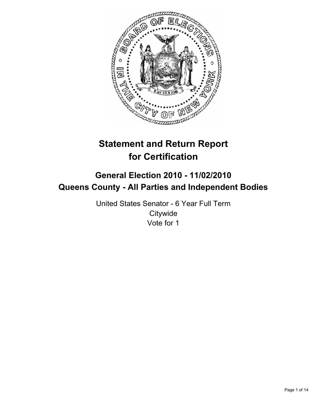

# **Statement and Return Report for Certification**

## **General Election 2010 - 11/02/2010 Queens County - All Parties and Independent Bodies**

United States Senator - 6 Year Full Term **Citywide** Vote for 1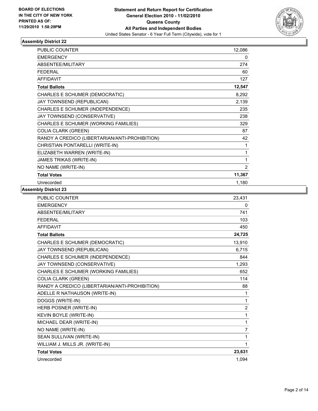

| <b>PUBLIC COUNTER</b>                          | 12,086         |
|------------------------------------------------|----------------|
| <b>EMERGENCY</b>                               | 0              |
| ABSENTEE/MILITARY                              | 274            |
| <b>FEDERAL</b>                                 | 60             |
| <b>AFFIDAVIT</b>                               | 127            |
| <b>Total Ballots</b>                           | 12,547         |
| CHARLES E SCHUMER (DEMOCRATIC)                 | 8,292          |
| JAY TOWNSEND (REPUBLICAN)                      | 2,139          |
| CHARLES E SCHUMER (INDEPENDENCE)               | 235            |
| JAY TOWNSEND (CONSERVATIVE)                    | 238            |
| CHARLES E SCHUMER (WORKING FAMILIES)           | 329            |
| <b>COLIA CLARK (GREEN)</b>                     | 87             |
| RANDY A CREDICO (LIBERTARIAN/ANTI-PROHIBITION) | 42             |
| CHRISTIAN PONTARELLI (WRITE-IN)                | 1              |
| ELIZABETH WARREN (WRITE-IN)                    | 1              |
| JAMES TRIKAS (WRITE-IN)                        | 1              |
| NO NAME (WRITE-IN)                             | $\overline{2}$ |
| <b>Total Votes</b>                             | 11,367         |
| Unrecorded                                     | 1,180          |

| 23,431         |
|----------------|
| 0              |
| 741            |
| 103            |
| 450            |
| 24,725         |
| 13,910         |
| 6,715          |
| 844            |
| 1,293          |
| 652            |
| 114            |
| 88             |
| 1              |
| 1              |
| $\overline{2}$ |
| 1              |
| 1              |
| $\overline{7}$ |
| 1              |
| 1              |
| 23,631         |
| 1,094          |
|                |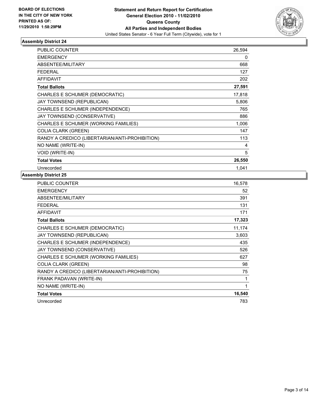

| <b>PUBLIC COUNTER</b>                          | 26,594 |
|------------------------------------------------|--------|
| <b>EMERGENCY</b>                               | 0      |
| <b>ABSENTEE/MILITARY</b>                       | 668    |
| <b>FEDERAL</b>                                 | 127    |
| <b>AFFIDAVIT</b>                               | 202    |
| <b>Total Ballots</b>                           | 27,591 |
| CHARLES E SCHUMER (DEMOCRATIC)                 | 17,818 |
| <b>JAY TOWNSEND (REPUBLICAN)</b>               | 5,806  |
| CHARLES E SCHUMER (INDEPENDENCE)               | 765    |
| JAY TOWNSEND (CONSERVATIVE)                    | 886    |
| CHARLES E SCHUMER (WORKING FAMILIES)           | 1,006  |
| <b>COLIA CLARK (GREEN)</b>                     | 147    |
| RANDY A CREDICO (LIBERTARIAN/ANTI-PROHIBITION) | 113    |
| NO NAME (WRITE-IN)                             | 4      |
| <b>VOID (WRITE-IN)</b>                         | 5      |
| <b>Total Votes</b>                             | 26,550 |
| Unrecorded                                     | 1.041  |

| <b>PUBLIC COUNTER</b>                          | 16,578 |
|------------------------------------------------|--------|
| <b>EMERGENCY</b>                               | 52     |
| ABSENTEE/MILITARY                              | 391    |
| <b>FEDERAL</b>                                 | 131    |
| <b>AFFIDAVIT</b>                               | 171    |
| <b>Total Ballots</b>                           | 17,323 |
| CHARLES E SCHUMER (DEMOCRATIC)                 | 11,174 |
| JAY TOWNSEND (REPUBLICAN)                      | 3,603  |
| CHARLES E SCHUMER (INDEPENDENCE)               | 435    |
| JAY TOWNSEND (CONSERVATIVE)                    | 526    |
| CHARLES E SCHUMER (WORKING FAMILIES)           | 627    |
| <b>COLIA CLARK (GREEN)</b>                     | 98     |
| RANDY A CREDICO (LIBERTARIAN/ANTI-PROHIBITION) | 75     |
| FRANK PADAVAN (WRITE-IN)                       | 1      |
| NO NAME (WRITE-IN)                             | 1      |
| <b>Total Votes</b>                             | 16,540 |
| Unrecorded                                     | 783    |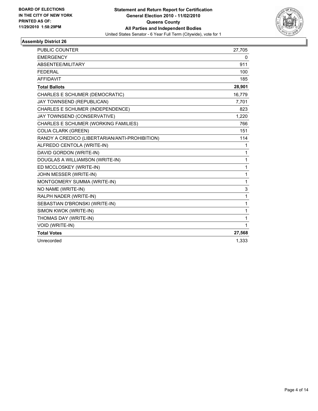

| <b>PUBLIC COUNTER</b>                          | 27,705       |
|------------------------------------------------|--------------|
| <b>EMERGENCY</b>                               | 0            |
| ABSENTEE/MILITARY                              | 911          |
| <b>FEDERAL</b>                                 | 100          |
| <b>AFFIDAVIT</b>                               | 185          |
| <b>Total Ballots</b>                           | 28,901       |
| CHARLES E SCHUMER (DEMOCRATIC)                 | 16,779       |
| JAY TOWNSEND (REPUBLICAN)                      | 7,701        |
| <b>CHARLES E SCHUMER (INDEPENDENCE)</b>        | 823          |
| JAY TOWNSEND (CONSERVATIVE)                    | 1,220        |
| CHARLES E SCHUMER (WORKING FAMILIES)           | 766          |
| <b>COLIA CLARK (GREEN)</b>                     | 151          |
| RANDY A CREDICO (LIBERTARIAN/ANTI-PROHIBITION) | 114          |
| ALFREDO CENTOLA (WRITE-IN)                     | 1            |
| DAVID GORDON (WRITE-IN)                        | 1            |
| DOUGLAS A WILLIAMSON (WRITE-IN)                | 1            |
| ED MCCLOSKEY (WRITE-IN)                        | $\mathbf{1}$ |
| JOHN MESSER (WRITE-IN)                         | 1            |
| MONTGOMERY SUMMA (WRITE-IN)                    | 1            |
| NO NAME (WRITE-IN)                             | 3            |
| RALPH NADER (WRITE-IN)                         | $\mathbf{1}$ |
| SEBASTIAN D'BRONSKI (WRITE-IN)                 | 1            |
| SIMON KWOK (WRITE-IN)                          | 1            |
| THOMAS DAY (WRITE-IN)                          | 1            |
| VOID (WRITE-IN)                                | 1            |
| <b>Total Votes</b>                             | 27,568       |
| Unrecorded                                     | 1,333        |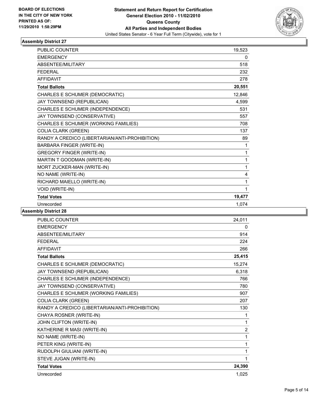

| PUBLIC COUNTER                                 | 19,523 |
|------------------------------------------------|--------|
| <b>EMERGENCY</b>                               | 0      |
| <b>ABSENTEE/MILITARY</b>                       | 518    |
| <b>FEDERAL</b>                                 | 232    |
| <b>AFFIDAVIT</b>                               | 278    |
| <b>Total Ballots</b>                           | 20,551 |
| CHARLES E SCHUMER (DEMOCRATIC)                 | 12,846 |
| JAY TOWNSEND (REPUBLICAN)                      | 4,599  |
| CHARLES E SCHUMER (INDEPENDENCE)               | 531    |
| JAY TOWNSEND (CONSERVATIVE)                    | 557    |
| CHARLES E SCHUMER (WORKING FAMILIES)           | 708    |
| <b>COLIA CLARK (GREEN)</b>                     | 137    |
| RANDY A CREDICO (LIBERTARIAN/ANTI-PROHIBITION) | 89     |
| BARBARA FINGER (WRITE-IN)                      | 1      |
| <b>GREGORY FINGER (WRITE-IN)</b>               | 1      |
| MARTIN T GOODMAN (WRITE-IN)                    | 1      |
| MORT ZUCKER-MAN (WRITE-IN)                     | 1      |
| NO NAME (WRITE-IN)                             | 4      |
| RICHARD MAIELLO (WRITE-IN)                     | 1      |
| <b>VOID (WRITE-IN)</b>                         | 1      |
| <b>Total Votes</b>                             | 19,477 |
| Unrecorded                                     | 1.074  |

| PUBLIC COUNTER                                 | 24.011         |
|------------------------------------------------|----------------|
| <b>EMERGENCY</b>                               | 0              |
| <b>ABSENTEE/MILITARY</b>                       | 914            |
| <b>FEDERAL</b>                                 | 224            |
| <b>AFFIDAVIT</b>                               | 266            |
| <b>Total Ballots</b>                           | 25,415         |
| CHARLES E SCHUMER (DEMOCRATIC)                 | 15,274         |
| JAY TOWNSEND (REPUBLICAN)                      | 6,318          |
| CHARLES E SCHUMER (INDEPENDENCE)               | 766            |
| JAY TOWNSEND (CONSERVATIVE)                    | 780            |
| CHARLES E SCHUMER (WORKING FAMILIES)           | 907            |
| <b>COLIA CLARK (GREEN)</b>                     | 207            |
| RANDY A CREDICO (LIBERTARIAN/ANTI-PROHIBITION) | 130            |
| CHAYA ROSNER (WRITE-IN)                        | 1              |
| JOHN CLIFTON (WRITE-IN)                        | 1              |
| KATHERINE R MASI (WRITE-IN)                    | $\overline{2}$ |
| NO NAME (WRITE-IN)                             | 1              |
| PETER KING (WRITE-IN)                          | 1              |
| RUDOLPH GIULIANI (WRITE-IN)                    | 1              |
| STEVE JUGAN (WRITE-IN)                         | 1              |
| <b>Total Votes</b>                             | 24,390         |
| Unrecorded                                     | 1,025          |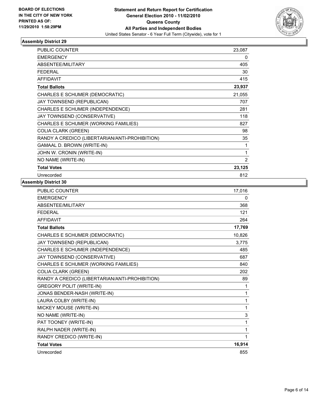

| <b>PUBLIC COUNTER</b>                          | 23,087 |
|------------------------------------------------|--------|
| <b>EMERGENCY</b>                               | 0      |
| <b>ABSENTEE/MILITARY</b>                       | 405    |
| FEDERAL                                        | 30     |
| <b>AFFIDAVIT</b>                               | 415    |
| <b>Total Ballots</b>                           | 23,937 |
| CHARLES E SCHUMER (DEMOCRATIC)                 | 21,055 |
| JAY TOWNSEND (REPUBLICAN)                      | 707    |
| CHARLES E SCHUMER (INDEPENDENCE)               | 281    |
| JAY TOWNSEND (CONSERVATIVE)                    | 118    |
| CHARLES E SCHUMER (WORKING FAMILIES)           | 827    |
| <b>COLIA CLARK (GREEN)</b>                     | 98     |
| RANDY A CREDICO (LIBERTARIAN/ANTI-PROHIBITION) | 35     |
| <b>GAMAAL D. BROWN (WRITE-IN)</b>              | 1      |
| JOHN W. CRONIN (WRITE-IN)                      | 1      |
| NO NAME (WRITE-IN)                             | 2      |
| <b>Total Votes</b>                             | 23,125 |
| Unrecorded                                     | 812    |

| <b>PUBLIC COUNTER</b>                          | 17,016 |
|------------------------------------------------|--------|
| <b>EMERGENCY</b>                               | 0      |
| ABSENTEE/MILITARY                              | 368    |
| <b>FEDERAL</b>                                 | 121    |
| <b>AFFIDAVIT</b>                               | 264    |
| <b>Total Ballots</b>                           | 17,769 |
| CHARLES E SCHUMER (DEMOCRATIC)                 | 10,826 |
| JAY TOWNSEND (REPUBLICAN)                      | 3,775  |
| CHARLES E SCHUMER (INDEPENDENCE)               | 485    |
| JAY TOWNSEND (CONSERVATIVE)                    | 687    |
| CHARLES E SCHUMER (WORKING FAMILIES)           | 840    |
| <b>COLIA CLARK (GREEN)</b>                     | 202    |
| RANDY A CREDICO (LIBERTARIAN/ANTI-PROHIBITION) | 89     |
| <b>GREGORY POLIT (WRITE-IN)</b>                | 1      |
| JONAS BENDER-NASH (WRITE-IN)                   | 1      |
| LAURA COLBY (WRITE-IN)                         | 1      |
| MICKEY MOUSE (WRITE-IN)                        | 1      |
| NO NAME (WRITE-IN)                             | 3      |
| PAT TOONEY (WRITE-IN)                          | 1      |
| RALPH NADER (WRITE-IN)                         | 1      |
| RANDY CREDICO (WRITE-IN)                       | 1      |
| <b>Total Votes</b>                             | 16,914 |
| Unrecorded                                     | 855    |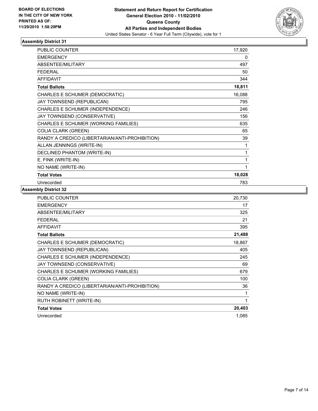

| <b>PUBLIC COUNTER</b>                          | 17,920 |
|------------------------------------------------|--------|
| <b>EMERGENCY</b>                               | 0      |
| <b>ABSENTEE/MILITARY</b>                       | 497    |
| <b>FEDERAL</b>                                 | 50     |
| <b>AFFIDAVIT</b>                               | 344    |
| <b>Total Ballots</b>                           | 18,811 |
| CHARLES E SCHUMER (DEMOCRATIC)                 | 16,088 |
| JAY TOWNSEND (REPUBLICAN)                      | 795    |
| CHARLES E SCHUMER (INDEPENDENCE)               | 246    |
| JAY TOWNSEND (CONSERVATIVE)                    | 156    |
| CHARLES E SCHUMER (WORKING FAMILIES)           | 635    |
| <b>COLIA CLARK (GREEN)</b>                     | 65     |
| RANDY A CREDICO (LIBERTARIAN/ANTI-PROHIBITION) | 39     |
| ALLAN JENNINGS (WRITE-IN)                      | 1      |
| DECLINED PHANTOM (WRITE-IN)                    | 1      |
| E. FINK (WRITE-IN)                             | 1      |
| NO NAME (WRITE-IN)                             | 1      |
| <b>Total Votes</b>                             | 18,028 |
| Unrecorded                                     | 783    |

| PUBLIC COUNTER                                 | 20,730 |
|------------------------------------------------|--------|
| <b>EMERGENCY</b>                               | 17     |
| ABSENTEE/MILITARY                              | 325    |
| <b>FEDERAL</b>                                 | 21     |
| <b>AFFIDAVIT</b>                               | 395    |
| <b>Total Ballots</b>                           | 21,488 |
| CHARLES E SCHUMER (DEMOCRATIC)                 | 18,867 |
| JAY TOWNSEND (REPUBLICAN)                      | 405    |
| CHARLES E SCHUMER (INDEPENDENCE)               | 245    |
| JAY TOWNSEND (CONSERVATIVE)                    | 69     |
| CHARLES E SCHUMER (WORKING FAMILIES)           | 679    |
| <b>COLIA CLARK (GREEN)</b>                     | 100    |
| RANDY A CREDICO (LIBERTARIAN/ANTI-PROHIBITION) | 36     |
| NO NAME (WRITE-IN)                             | 1      |
| RUTH ROBINETT (WRITE-IN)                       | 1      |
| <b>Total Votes</b>                             | 20,403 |
| Unrecorded                                     | 1,085  |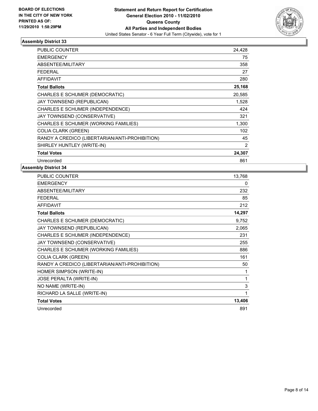

| <b>PUBLIC COUNTER</b>                          | 24,428 |
|------------------------------------------------|--------|
| <b>EMERGENCY</b>                               | 75     |
| ABSENTEE/MILITARY                              | 358    |
| <b>FEDERAL</b>                                 | 27     |
| <b>AFFIDAVIT</b>                               | 280    |
| <b>Total Ballots</b>                           | 25,168 |
| CHARLES E SCHUMER (DEMOCRATIC)                 | 20,585 |
| <b>JAY TOWNSEND (REPUBLICAN)</b>               | 1,528  |
| CHARLES E SCHUMER (INDEPENDENCE)               | 424    |
| JAY TOWNSEND (CONSERVATIVE)                    | 321    |
| CHARLES E SCHUMER (WORKING FAMILIES)           | 1,300  |
| <b>COLIA CLARK (GREEN)</b>                     | 102    |
| RANDY A CREDICO (LIBERTARIAN/ANTI-PROHIBITION) | 45     |
| SHIRLEY HUNTLEY (WRITE-IN)                     | 2      |
| <b>Total Votes</b>                             | 24,307 |
| Unrecorded                                     | 861    |

| <b>PUBLIC COUNTER</b>                          | 13,768 |
|------------------------------------------------|--------|
| <b>EMERGENCY</b>                               | 0      |
| ABSENTEE/MILITARY                              | 232    |
| <b>FEDERAL</b>                                 | 85     |
| <b>AFFIDAVIT</b>                               | 212    |
| <b>Total Ballots</b>                           | 14,297 |
| CHARLES E SCHUMER (DEMOCRATIC)                 | 9,752  |
| JAY TOWNSEND (REPUBLICAN)                      | 2,065  |
| CHARLES E SCHUMER (INDEPENDENCE)               | 231    |
| JAY TOWNSEND (CONSERVATIVE)                    | 255    |
| CHARLES E SCHUMER (WORKING FAMILIES)           | 886    |
| <b>COLIA CLARK (GREEN)</b>                     | 161    |
| RANDY A CREDICO (LIBERTARIAN/ANTI-PROHIBITION) | 50     |
| HOMER SIMPSON (WRITE-IN)                       | 1      |
| <b>JOSE PERALTA (WRITE-IN)</b>                 | 1      |
| NO NAME (WRITE-IN)                             | 3      |
| RICHARD LA SALLE (WRITE-IN)                    | 1      |
| <b>Total Votes</b>                             | 13,406 |
| Unrecorded                                     | 891    |
|                                                |        |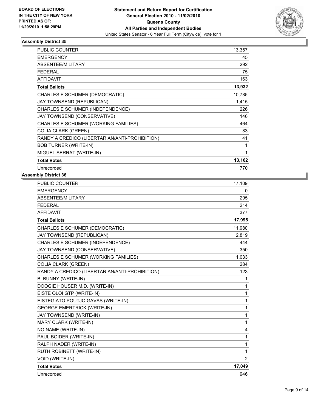

| <b>PUBLIC COUNTER</b>                          | 13,357 |
|------------------------------------------------|--------|
| <b>EMERGENCY</b>                               | 45     |
| ABSENTEE/MILITARY                              | 292    |
| <b>FEDERAL</b>                                 | 75     |
| <b>AFFIDAVIT</b>                               | 163    |
| <b>Total Ballots</b>                           | 13,932 |
| CHARLES E SCHUMER (DEMOCRATIC)                 | 10,785 |
| JAY TOWNSEND (REPUBLICAN)                      | 1,415  |
| CHARLES E SCHUMER (INDEPENDENCE)               | 226    |
| JAY TOWNSEND (CONSERVATIVE)                    | 146    |
| CHARLES E SCHUMER (WORKING FAMILIES)           | 464    |
| <b>COLIA CLARK (GREEN)</b>                     | 83     |
| RANDY A CREDICO (LIBERTARIAN/ANTI-PROHIBITION) | 41     |
| <b>BOB TURNER (WRITE-IN)</b>                   | 1      |
| MIGUEL SERRAT (WRITE-IN)                       | 1      |
| <b>Total Votes</b>                             | 13,162 |
| Unrecorded                                     | 770    |

| <b>PUBLIC COUNTER</b>                          | 17,109         |
|------------------------------------------------|----------------|
| <b>EMERGENCY</b>                               | $\mathbf{0}$   |
| ABSENTEE/MILITARY                              | 295            |
| <b>FEDERAL</b>                                 | 214            |
| <b>AFFIDAVIT</b>                               | 377            |
| <b>Total Ballots</b>                           | 17,995         |
| CHARLES E SCHUMER (DEMOCRATIC)                 | 11,980         |
| JAY TOWNSEND (REPUBLICAN)                      | 2,819          |
| CHARLES E SCHUMER (INDEPENDENCE)               | 444            |
| JAY TOWNSEND (CONSERVATIVE)                    | 350            |
| CHARLES E SCHUMER (WORKING FAMILIES)           | 1,033          |
| <b>COLIA CLARK (GREEN)</b>                     | 284            |
| RANDY A CREDICO (LIBERTARIAN/ANTI-PROHIBITION) | 123            |
| B. BUNNY (WRITE-IN)                            | 1              |
| DOOGIE HOUSER M.D. (WRITE-IN)                  | 1              |
| EISTE OLOI GTP (WRITE-IN)                      | 1              |
| EISTEGIATO POUTJO GAVAS (WRITE-IN)             | 1              |
| <b>GEORGE EMERTRICK (WRITE-IN)</b>             | 1              |
| JAY TOWNSEND (WRITE-IN)                        | 1              |
| MARY CLARK (WRITE-IN)                          | 1              |
| NO NAME (WRITE-IN)                             | 4              |
| PAUL BOIDER (WRITE-IN)                         | 1              |
| RALPH NADER (WRITE-IN)                         | 1              |
| RUTH ROBINETT (WRITE-IN)                       | 1              |
| <b>VOID (WRITE-IN)</b>                         | $\overline{2}$ |
| <b>Total Votes</b>                             | 17,049         |
| Unrecorded                                     | 946            |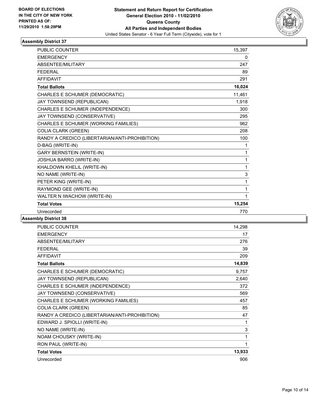

| <b>PUBLIC COUNTER</b>                          | 15,397 |
|------------------------------------------------|--------|
| <b>EMERGENCY</b>                               | 0      |
| <b>ABSENTEE/MILITARY</b>                       | 247    |
| <b>FEDERAL</b>                                 | 89     |
| <b>AFFIDAVIT</b>                               | 291    |
| <b>Total Ballots</b>                           | 16,024 |
| CHARLES E SCHUMER (DEMOCRATIC)                 | 11,461 |
| JAY TOWNSEND (REPUBLICAN)                      | 1,918  |
| CHARLES E SCHUMER (INDEPENDENCE)               | 300    |
| JAY TOWNSEND (CONSERVATIVE)                    | 295    |
| CHARLES E SCHUMER (WORKING FAMILIES)           | 962    |
| <b>COLIA CLARK (GREEN)</b>                     | 208    |
| RANDY A CREDICO (LIBERTARIAN/ANTI-PROHIBITION) | 100    |
| D-BAG (WRITE-IN)                               | 1      |
| <b>GARY BERNSTEIN (WRITE-IN)</b>               | 1      |
| JOSHUA BARRO (WRITE-IN)                        | 1      |
| KHALDOWN KHELIL (WRITE-IN)                     | 1      |
| NO NAME (WRITE-IN)                             | 3      |
| PETER KING (WRITE-IN)                          | 1      |
| RAYMOND GEE (WRITE-IN)                         | 1      |
| WALTER N IWACHOW (WRITE-IN)                    | 1      |
| <b>Total Votes</b>                             | 15,254 |
| Unrecorded                                     | 770    |

| <b>PUBLIC COUNTER</b>                          | 14,298 |
|------------------------------------------------|--------|
| <b>EMERGENCY</b>                               | 17     |
| ABSENTEE/MILITARY                              | 276    |
| <b>FEDERAL</b>                                 | 39     |
| <b>AFFIDAVIT</b>                               | 209    |
| <b>Total Ballots</b>                           | 14,839 |
| CHARLES E SCHUMER (DEMOCRATIC)                 | 9,757  |
| JAY TOWNSEND (REPUBLICAN)                      | 2,640  |
| CHARLES E SCHUMER (INDEPENDENCE)               | 372    |
| JAY TOWNSEND (CONSERVATIVE)                    | 569    |
| CHARLES E SCHUMER (WORKING FAMILIES)           | 457    |
| <b>COLIA CLARK (GREEN)</b>                     | 85     |
| RANDY A CREDICO (LIBERTARIAN/ANTI-PROHIBITION) | 47     |
| EDWARD J. SPIOLLI (WRITE-IN)                   | 1      |
| NO NAME (WRITE-IN)                             | 3      |
| NOAM CHOUSKY (WRITE-IN)                        | 1      |
| RON PAUL (WRITE-IN)                            | 1      |
| <b>Total Votes</b>                             | 13,933 |
| Unrecorded                                     | 906    |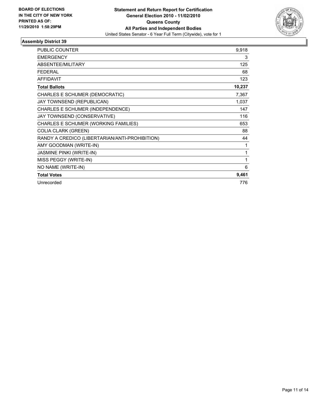

| <b>PUBLIC COUNTER</b>                          | 9,918  |
|------------------------------------------------|--------|
| <b>EMERGENCY</b>                               | 3      |
| <b>ABSENTEE/MILITARY</b>                       | 125    |
| <b>FEDERAL</b>                                 | 68     |
| <b>AFFIDAVIT</b>                               | 123    |
| <b>Total Ballots</b>                           | 10,237 |
| CHARLES E SCHUMER (DEMOCRATIC)                 | 7,367  |
| JAY TOWNSEND (REPUBLICAN)                      | 1,037  |
| CHARLES E SCHUMER (INDEPENDENCE)               | 147    |
| JAY TOWNSEND (CONSERVATIVE)                    | 116    |
| CHARLES E SCHUMER (WORKING FAMILIES)           | 653    |
| <b>COLIA CLARK (GREEN)</b>                     | 88     |
| RANDY A CREDICO (LIBERTARIAN/ANTI-PROHIBITION) | 44     |
| AMY GOODMAN (WRITE-IN)                         | 1      |
| <b>JASMINE PINKI (WRITE-IN)</b>                | 1      |
| MISS PEGGY (WRITE-IN)                          | 1      |
| NO NAME (WRITE-IN)                             | 6      |
| <b>Total Votes</b>                             | 9,461  |
| Unrecorded                                     | 776    |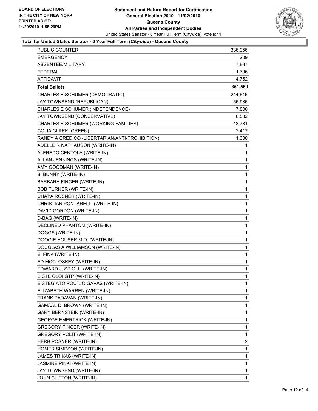

#### **Total for United States Senator - 6 Year Full Term (Citywide) - Queens County**

| <b>PUBLIC COUNTER</b>                          | 336,956 |
|------------------------------------------------|---------|
| EMERGENCY                                      | 209     |
| ABSENTEE/MILITARY                              | 7,837   |
| <b>FEDERAL</b>                                 | 1,796   |
| AFFIDAVIT                                      | 4,752   |
| <b>Total Ballots</b>                           | 351,550 |
| CHARLES E SCHUMER (DEMOCRATIC)                 | 244,616 |
| JAY TOWNSEND (REPUBLICAN)                      | 55,985  |
| CHARLES E SCHUMER (INDEPENDENCE)               | 7,800   |
| JAY TOWNSEND (CONSERVATIVE)                    | 8,582   |
| CHARLES E SCHUMER (WORKING FAMILIES)           | 13,731  |
| <b>COLIA CLARK (GREEN)</b>                     | 2,417   |
| RANDY A CREDICO (LIBERTARIAN/ANTI-PROHIBITION) | 1,300   |
| ADELLE R NATHAUSON (WRITE-IN)                  | 1       |
| ALFREDO CENTOLA (WRITE-IN)                     | 1       |
| ALLAN JENNINGS (WRITE-IN)                      | 1       |
| AMY GOODMAN (WRITE-IN)                         | 1       |
| B. BUNNY (WRITE-IN)                            | 1       |
| BARBARA FINGER (WRITE-IN)                      | 1       |
| <b>BOB TURNER (WRITE-IN)</b>                   | 1       |
| CHAYA ROSNER (WRITE-IN)                        | 1       |
| CHRISTIAN PONTARELLI (WRITE-IN)                | 1       |
| DAVID GORDON (WRITE-IN)                        | 1       |
| D-BAG (WRITE-IN)                               | 1       |
| DECLINED PHANTOM (WRITE-IN)                    | 1       |
| DOGGS (WRITE-IN)                               | 1       |
| DOOGIE HOUSER M.D. (WRITE-IN)                  | 1       |
| DOUGLAS A WILLIAMSON (WRITE-IN)                | 1       |
| E. FINK (WRITE-IN)                             | 1       |
| ED MCCLOSKEY (WRITE-IN)                        | 1       |
| EDWARD J. SPIOLLI (WRITE-IN)                   | 1       |
| EISTE OLOI GTP (WRITE-IN)                      | 1       |
| EISTEGIATO POUTJO GAVAS (WRITE-IN)             | 1       |
| ELIZABETH WARREN (WRITE-IN)                    | 1       |
| FRANK PADAVAN (WRITE-IN)                       | 1       |
| GAMAAL D. BROWN (WRITE-IN)                     | 1       |
| <b>GARY BERNSTEIN (WRITE-IN)</b>               | 1       |
| <b>GEORGE EMERTRICK (WRITE-IN)</b>             | 1       |
| <b>GREGORY FINGER (WRITE-IN)</b>               | 1       |
| <b>GREGORY POLIT (WRITE-IN)</b>                | 1       |
| HERB POSNER (WRITE-IN)                         | 2       |
| HOMER SIMPSON (WRITE-IN)                       | 1       |
| JAMES TRIKAS (WRITE-IN)                        | 1       |
| JASMINE PINKI (WRITE-IN)                       | 1       |
| JAY TOWNSEND (WRITE-IN)                        | 1       |
| JOHN CLIFTON (WRITE-IN)                        | 1       |
|                                                |         |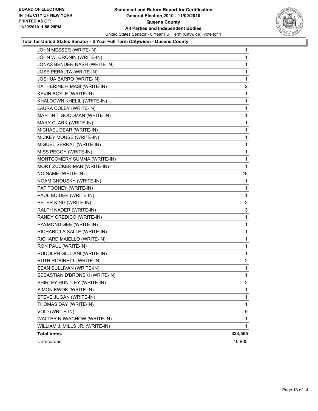

#### **Total for United States Senator - 6 Year Full Term (Citywide) - Queens County**

| JOHN MESSER (WRITE-IN)          | 1            |
|---------------------------------|--------------|
| JOHN W. CRONIN (WRITE-IN)       | 1            |
| JONAS BENDER-NASH (WRITE-IN)    | 1            |
| JOSE PERALTA (WRITE-IN)         | 1            |
| JOSHUA BARRO (WRITE-IN)         | 1            |
| KATHERINE R MASI (WRITE-IN)     | 2            |
| KEVIN BOYLE (WRITE-IN)          | 1            |
| KHALDOWN KHELIL (WRITE-IN)      | 1            |
| LAURA COLBY (WRITE-IN)          | 1            |
| MARTIN T GOODMAN (WRITE-IN)     | 1            |
| MARY CLARK (WRITE-IN)           | 1            |
| MICHAEL DEAR (WRITE-IN)         | 1            |
| MICKEY MOUSE (WRITE-IN)         | 1            |
| MIGUEL SERRAT (WRITE-IN)        | 1            |
| MISS PEGGY (WRITE-IN)           | 1            |
| MONTGOMERY SUMMA (WRITE-IN)     | 1            |
| MORT ZUCKER-MAN (WRITE-IN)      | 1            |
| NO NAME (WRITE-IN)              | 48           |
| NOAM CHOUSKY (WRITE-IN)         | 1            |
| PAT TOONEY (WRITE-IN)           | 1            |
| PAUL BOIDER (WRITE-IN)          | 1            |
| PETER KING (WRITE-IN)           | 2            |
| RALPH NADER (WRITE-IN)          | 3            |
| RANDY CREDICO (WRITE-IN)        | 1            |
| RAYMOND GEE (WRITE-IN)          | 1            |
| RICHARD LA SALLE (WRITE-IN)     | 1            |
| RICHARD MAIELLO (WRITE-IN)      | 1            |
| RON PAUL (WRITE-IN)             | 1            |
| RUDOLPH GIULIANI (WRITE-IN)     | 1            |
| RUTH ROBINETT (WRITE-IN)        | 2            |
| SEAN SULLIVAN (WRITE-IN)        | 1            |
| SEBASTIAN D'BRONSKI (WRITE-IN)  | 1            |
| SHIRLEY HUNTLEY (WRITE-IN)      | $\mathbf{2}$ |
| SIMON KWOK (WRITE-IN)           | 1            |
| STEVE JUGAN (WRITE-IN)          | 1            |
| THOMAS DAY (WRITE-IN)           | 1            |
| VOID (WRITE-IN)                 | 9            |
| WALTER N IWACHOW (WRITE-IN)     | 1            |
| WILLIAM J. MILLS JR. (WRITE-IN) | 1            |
| <b>Total Votes</b>              | 334,565      |
| Unrecorded                      | 16,985       |
|                                 |              |